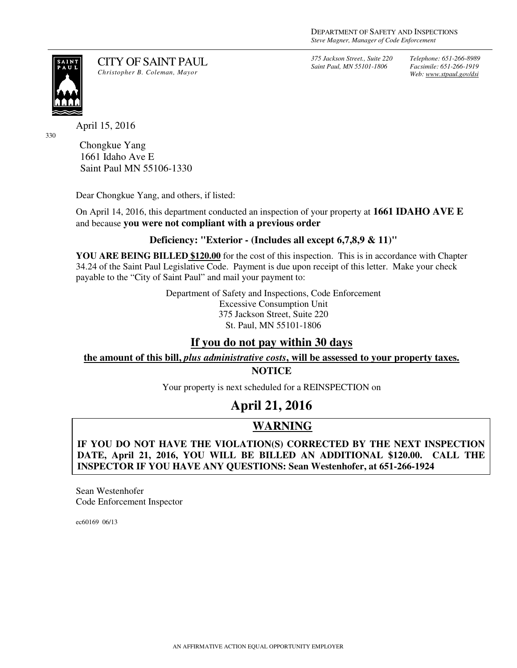*375 Jackson Street., Suite 220 Saint Paul, MN 55101-1806*

*Telephone: 651-266-8989 Facsimile: 651-266-1919 Web: www.stpaul.gov/dsi*

SAIN<br>PAU

330

CITY OF SAINT PAUL *Christopher B. Coleman, Mayor* 

April 15, 2016

Chongkue Yang 1661 Idaho Ave E Saint Paul MN 55106-1330

Dear Chongkue Yang, and others, if listed:

On April 14, 2016, this department conducted an inspection of your property at **1661 IDAHO AVE E**  and because **you were not compliant with a previous order**

### **Deficiency: "Exterior - (Includes all except 6,7,8,9 & 11)"**

**YOU ARE BEING BILLED \$120.00** for the cost of this inspection. This is in accordance with Chapter 34.24 of the Saint Paul Legislative Code. Payment is due upon receipt of this letter. Make your check payable to the "City of Saint Paul" and mail your payment to:

> Department of Safety and Inspections, Code Enforcement Excessive Consumption Unit 375 Jackson Street, Suite 220 St. Paul, MN 55101-1806

## **If you do not pay within 30 days**

**the amount of this bill,** *plus administrative costs***, will be assessed to your property taxes.**

**NOTICE** 

Your property is next scheduled for a REINSPECTION on

# **April 21, 2016**

## **WARNING**

**IF YOU DO NOT HAVE THE VIOLATION(S) CORRECTED BY THE NEXT INSPECTION DATE, April 21, 2016, YOU WILL BE BILLED AN ADDITIONAL \$120.00. CALL THE INSPECTOR IF YOU HAVE ANY QUESTIONS: Sean Westenhofer, at 651-266-1924**

Sean Westenhofer Code Enforcement Inspector

ec60169 06/13